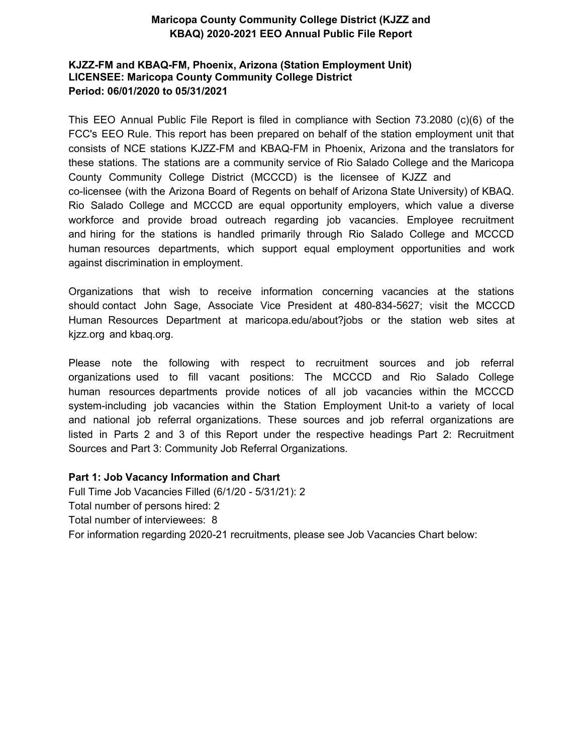## **KJZZ-FM and KBAQ-FM, Phoenix, Arizona (Station Employment Unit) LICENSEE: Maricopa County Community College District Period: 06/01/2021 to 05/31/2022**

This EEO Annual Public File Report is filed in compliance with Section 73.2080 (c)(6) of the FCC's EEO Rule. This report has been prepared on behalf of the station employment unit that consists of NCE stations KJZZ-FM and KBAQ-FM in Phoenix, Arizona and the translators for these stations. The stations are a community service of Rio Salado College and the Maricopa County Community College District (MCCCD) is the licensee of KJZZ and co-licensee (with the Arizona Board of Regents on behalf of Arizona State University) of KBAQ. Rio Salado College and MCCCD are equal opportunity employers, which value a diverse workforce and provide broad outreach regarding job vacancies. Employee recruitment and hiring for the stations is handled primarily through Rio Salado College and MCCCD human resources departments, which support equal employment opportunities and work against discrimination in employment.

Organizations that wish to receive information concerning vacancies at the stations should contact John Sage, Associate Vice President at 480-834-5627; visit the MCCCD Human Resources Department at maricopa.edu/about?jobs or the station web sites at kjzz.org and kbaq.org.

Please note the following with respect to recruitment sources and job referral organizations used to fill vacant positions: The MCCCD and Rio Salado College human resources departments provide notices of all job vacancies within the MCCCD system-including job vacancies within the Station Employment Unit-to a variety of local and national job referral organizations. These sources and job referral organizations are listed in Parts 2 and 3 of this Report under the respective headings Part 2: Recruitment Sources and Part 3: Community Job Referral Organizations.

## **Part 1: Job Vacancy Information and Chart**

Full Time Job Vacancies Filled (6/1/21 - 5/31/22): 17 Total number of persons hired: Total number of interviewees: For information regarding 2021-22 recruitments, please see Job Vacancies Chart below: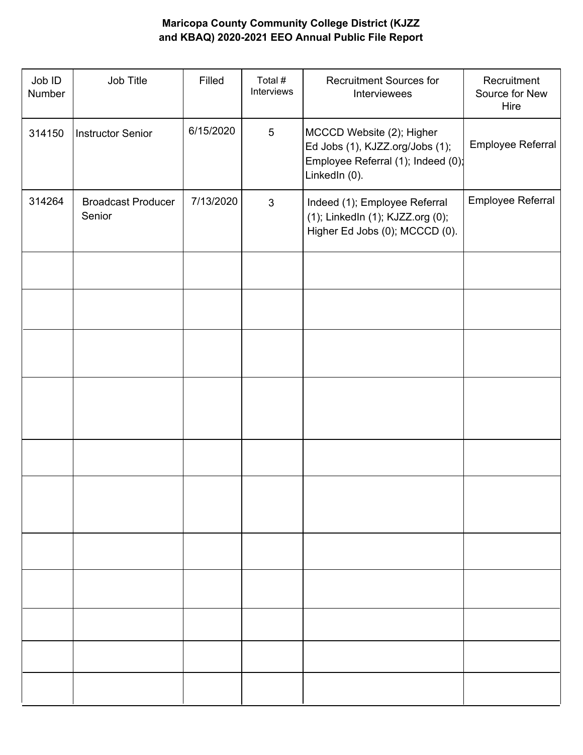| Job ID<br>Number | Job Title                           | Filled    | Total #<br>Interviews | <b>Recruitment Sources for</b><br>Interviewees                                                                      | Recruitment<br>Source for New<br>Hire |
|------------------|-------------------------------------|-----------|-----------------------|---------------------------------------------------------------------------------------------------------------------|---------------------------------------|
| 314150           | <b>Instructor Senior</b>            | 6/15/2020 | $5\phantom{.0}$       | MCCCD Website (2); Higher<br>Ed Jobs (1), KJZZ.org/Jobs (1);<br>Employee Referral (1); Indeed (0);<br>LinkedIn (0). | Employee Referral                     |
| 314264           | <b>Broadcast Producer</b><br>Senior | 7/13/2020 | $\mathbf{3}$          | Indeed (1); Employee Referral<br>(1); LinkedIn (1); KJZZ.org (0);<br>Higher Ed Jobs (0); MCCCD (0).                 | Employee Referral                     |
|                  |                                     |           |                       |                                                                                                                     |                                       |
|                  |                                     |           |                       |                                                                                                                     |                                       |
|                  |                                     |           |                       |                                                                                                                     |                                       |
|                  |                                     |           |                       |                                                                                                                     |                                       |
|                  |                                     |           |                       |                                                                                                                     |                                       |
|                  |                                     |           |                       |                                                                                                                     |                                       |
|                  |                                     |           |                       |                                                                                                                     |                                       |
|                  |                                     |           |                       |                                                                                                                     |                                       |
|                  |                                     |           |                       |                                                                                                                     |                                       |
|                  |                                     |           |                       |                                                                                                                     |                                       |
|                  |                                     |           |                       |                                                                                                                     |                                       |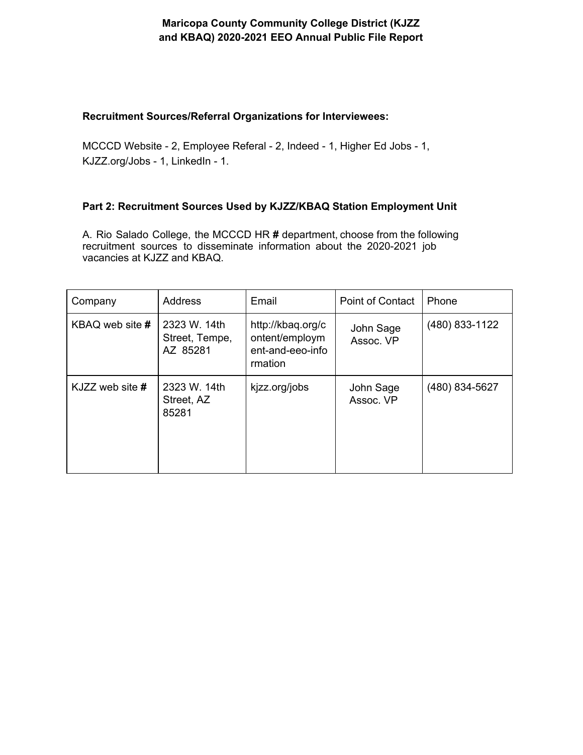#### **Recruitment Sources/Referral Organizations for Interviewees:**

MCCCD Website - 2, Employee Referal - 2, Indeed - 1, Higher Ed Jobs - 1, KJZZ.org/Jobs - 1, LinkedIn - 1.

#### **Part 2: Recruitment Sources Used by KJZZ/KBAQ Station Employment Unit**

A. Rio Salado College, the MCCCD HR **#** department, choose from the following recruitment sources to disseminate information about the 2020-2021 job vacancies at KJZZ and KBAQ.

| Company         | <b>Address</b>                             | Email                                                              | Point of Contact       | Phone          |
|-----------------|--------------------------------------------|--------------------------------------------------------------------|------------------------|----------------|
| KBAQ web site # | 2323 W. 14th<br>Street, Tempe,<br>AZ 85281 | http://kbaq.org/c<br>ontent/employm<br>ent-and-eeo-info<br>rmation | John Sage<br>Assoc. VP | (480) 833-1122 |
| KJZZ web site # | 2323 W. 14th<br>Street, AZ<br>85281        | kjzz.org/jobs                                                      | John Sage<br>Assoc. VP | (480) 834-5627 |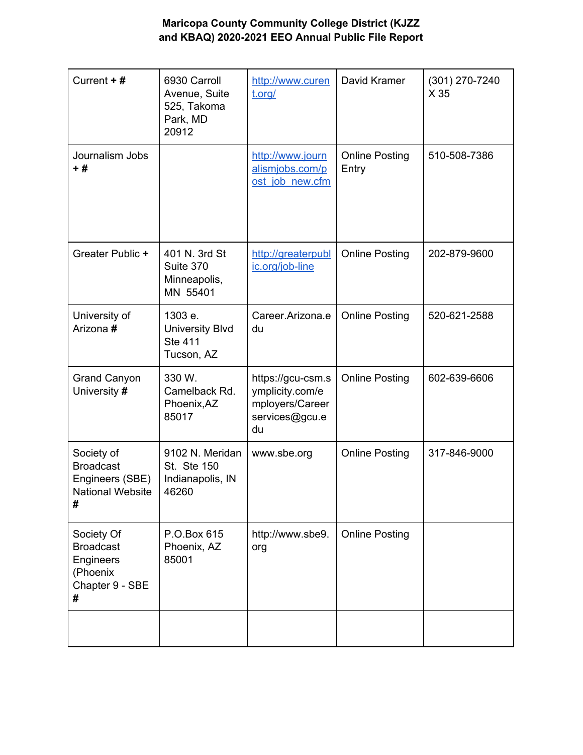| Current +#                                                                        | 6930 Carroll<br>Avenue, Suite<br>525, Takoma<br>Park, MD<br>20912 | http://www.curen<br>t.org/                                                      | David Kramer                   | (301) 270-7240<br>X 35 |
|-----------------------------------------------------------------------------------|-------------------------------------------------------------------|---------------------------------------------------------------------------------|--------------------------------|------------------------|
| Journalism Jobs<br>$+#$                                                           |                                                                   | http://www.journ<br>alismjobs.com/p<br>ost job new.cfm                          | <b>Online Posting</b><br>Entry | 510-508-7386           |
| Greater Public +                                                                  | 401 N. 3rd St<br>Suite 370<br>Minneapolis,<br>MN 55401            | http://greaterpubl<br>ic.org/job-line                                           | <b>Online Posting</b>          | 202-879-9600           |
| University of<br>Arizona #                                                        | 1303 e.<br><b>University Blvd</b><br><b>Ste 411</b><br>Tucson, AZ | Career.Arizona.e<br>du                                                          | <b>Online Posting</b>          | 520-621-2588           |
| <b>Grand Canyon</b><br>University #                                               | 330 W.<br>Camelback Rd.<br>Phoenix, AZ<br>85017                   | https://gcu-csm.s<br>ymplicity.com/e<br>mployers/Career<br>services@gcu.e<br>du | <b>Online Posting</b>          | 602-639-6606           |
| Society of<br><b>Broadcast</b><br>Engineers (SBE)<br><b>National Website</b><br># | 9102 N. Meridan<br>St. Ste 150<br>Indianapolis, IN<br>46260       | www.sbe.org                                                                     | <b>Online Posting</b>          | 317-846-9000           |
| Society Of<br><b>Broadcast</b><br>Engineers<br>(Phoenix<br>Chapter 9 - SBE<br>#   | P.O.Box 615<br>Phoenix, AZ<br>85001                               | http://www.sbe9.<br>org                                                         | <b>Online Posting</b>          |                        |
|                                                                                   |                                                                   |                                                                                 |                                |                        |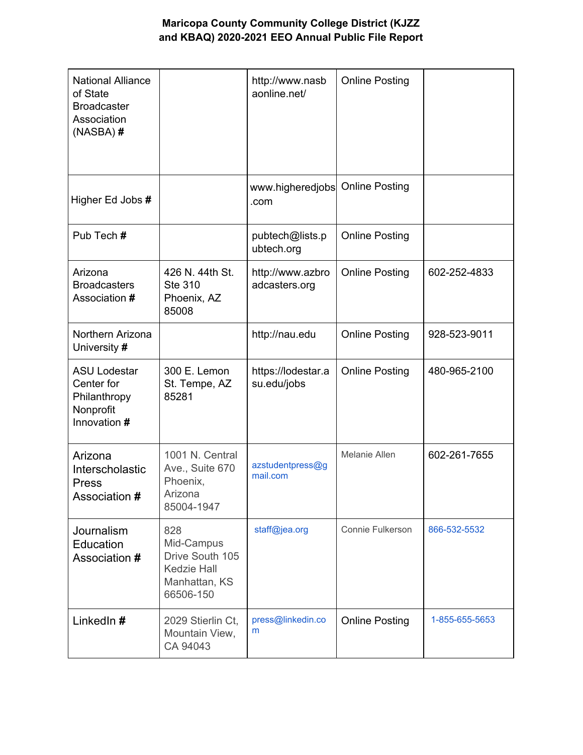| <b>National Alliance</b><br>of State<br><b>Broadcaster</b><br>Association<br>$(NASBA)$ # |                                                                                          | http://www.nasb<br>aonline.net/   | <b>Online Posting</b>   |                |
|------------------------------------------------------------------------------------------|------------------------------------------------------------------------------------------|-----------------------------------|-------------------------|----------------|
| Higher Ed Jobs #                                                                         |                                                                                          | www.higheredjobs<br>.com          | <b>Online Posting</b>   |                |
| Pub Tech #                                                                               |                                                                                          | pubtech@lists.p<br>ubtech.org     | <b>Online Posting</b>   |                |
| Arizona<br><b>Broadcasters</b><br>Association #                                          | 426 N. 44th St.<br><b>Ste 310</b><br>Phoenix, AZ<br>85008                                | http://www.azbro<br>adcasters.org | <b>Online Posting</b>   | 602-252-4833   |
| Northern Arizona<br>University #                                                         |                                                                                          | http://nau.edu                    | <b>Online Posting</b>   | 928-523-9011   |
| <b>ASU Lodestar</b><br>Center for<br>Philanthropy<br>Nonprofit<br>Innovation #           | 300 E. Lemon<br>St. Tempe, AZ<br>85281                                                   | https://lodestar.a<br>su.edu/jobs | <b>Online Posting</b>   | 480-965-2100   |
| Arizona<br>Interscholastic<br><b>Press</b><br>Association #                              | 1001 N. Central<br>Ave., Suite 670<br>Phoenix,<br>Arizona<br>85004-1947                  | azstudentpress@g<br>mail.com      | <b>Melanie Allen</b>    | 602-261-7655   |
| Journalism<br>Education<br>Association #                                                 | 828<br>Mid-Campus<br>Drive South 105<br><b>Kedzie Hall</b><br>Manhattan, KS<br>66506-150 | staff@jea.org                     | <b>Connie Fulkerson</b> | 866-532-5532   |
| LinkedIn#                                                                                | 2029 Stierlin Ct,<br>Mountain View,<br>CA 94043                                          | press@linkedin.co<br>m            | <b>Online Posting</b>   | 1-855-655-5653 |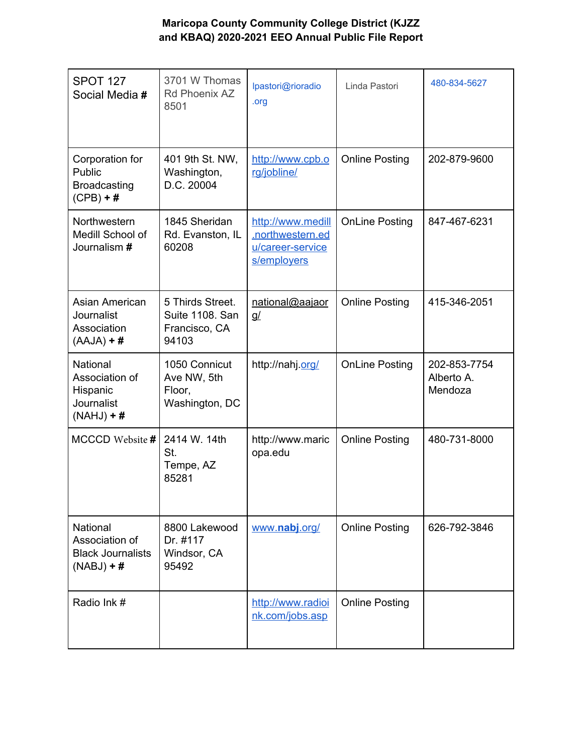| <b>SPOT 127</b><br>Social Media #                                             | 3701 W Thomas<br>Rd Phoenix AZ<br>8501                        | lpastori@rioradio<br>.org                                                | Linda Pastori         | 480-834-5627                          |
|-------------------------------------------------------------------------------|---------------------------------------------------------------|--------------------------------------------------------------------------|-----------------------|---------------------------------------|
| Corporation for<br>Public<br><b>Broadcasting</b><br>$(CPB) + #$               | 401 9th St. NW,<br>Washington,<br>D.C. 20004                  | http://www.cpb.o<br>rg/jobline/                                          | <b>Online Posting</b> | 202-879-9600                          |
| <b>Northwestern</b><br>Medill School of<br>Journalism #                       | 1845 Sheridan<br>Rd. Evanston, IL<br>60208                    | http://www.medill<br>.northwestern.ed<br>u/career-service<br>s/employers | <b>OnLine Posting</b> | 847-467-6231                          |
| Asian American<br><b>Journalist</b><br>Association<br>$(AAJA) + #$            | 5 Thirds Street.<br>Suite 1108. San<br>Francisco, CA<br>94103 | national@aajaor<br><u>q/</u>                                             | <b>Online Posting</b> | 415-346-2051                          |
| <b>National</b><br>Association of<br>Hispanic<br>Journalist<br>$(NAHJ) + #$   | 1050 Connicut<br>Ave NW, 5th<br>Floor,<br>Washington, DC      | http://nahj.org/                                                         | <b>OnLine Posting</b> | 202-853-7754<br>Alberto A.<br>Mendoza |
| MCCCD Website #                                                               | 2414 W. 14th<br>St.<br>Tempe, AZ<br>85281                     | http://www.maric<br>opa.edu                                              | <b>Online Posting</b> | 480-731-8000                          |
| <b>National</b><br>Association of<br><b>Black Journalists</b><br>$(NABJ) + #$ | 8800 Lakewood<br>Dr. #117<br>Windsor, CA<br>95492             | www.nabj.org/                                                            | <b>Online Posting</b> | 626-792-3846                          |
| Radio Ink #                                                                   |                                                               | http://www.radioi<br>nk.com/jobs.asp                                     | <b>Online Posting</b> |                                       |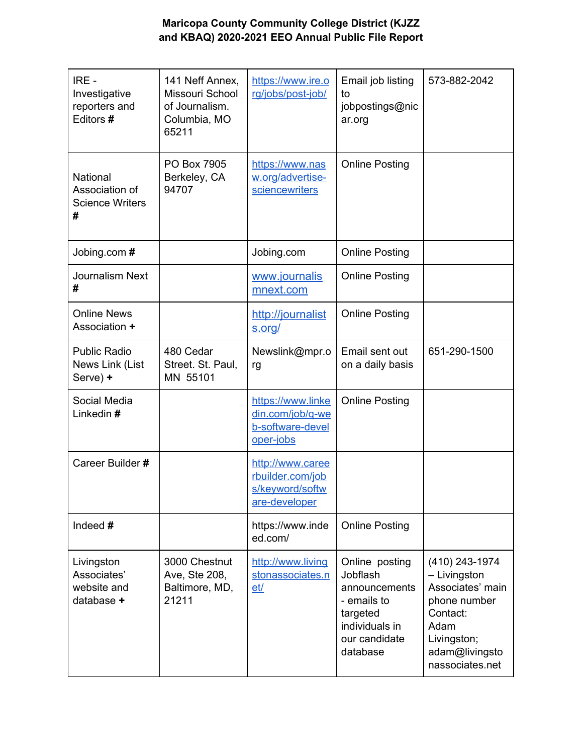| IRE -<br>Investigative<br>reporters and<br>Editors #      | 141 Neff Annex,<br>Missouri School<br>of Journalism.<br>Columbia, MO<br>65211 | https://www.ire.o<br>rg/jobs/post-job/                                   | Email job listing<br>to<br>jobpostings@nic<br>ar.org                                                                  | 573-882-2042                                                                                                                               |
|-----------------------------------------------------------|-------------------------------------------------------------------------------|--------------------------------------------------------------------------|-----------------------------------------------------------------------------------------------------------------------|--------------------------------------------------------------------------------------------------------------------------------------------|
| National<br>Association of<br><b>Science Writers</b><br># | PO Box 7905<br>Berkeley, CA<br>94707                                          | https://www.nas<br>w.org/advertise-<br>sciencewriters                    | <b>Online Posting</b>                                                                                                 |                                                                                                                                            |
| Jobing.com #                                              |                                                                               | Jobing.com                                                               | <b>Online Posting</b>                                                                                                 |                                                                                                                                            |
| <b>Journalism Next</b><br>#                               |                                                                               | www.journalis<br>mnext.com                                               | <b>Online Posting</b>                                                                                                 |                                                                                                                                            |
| <b>Online News</b><br>Association +                       |                                                                               | http://journalist<br>s.org/                                              | <b>Online Posting</b>                                                                                                 |                                                                                                                                            |
| <b>Public Radio</b><br>News Link (List<br>Serve) +        | 480 Cedar<br>Street. St. Paul,<br>MN 55101                                    | Newslink@mpr.o<br>rg                                                     | Email sent out<br>on a daily basis                                                                                    | 651-290-1500                                                                                                                               |
| Social Media<br>Linkedin #                                |                                                                               | https://www.linke<br>din.com/job/q-we<br>b-software-devel<br>oper-jobs   | <b>Online Posting</b>                                                                                                 |                                                                                                                                            |
| Career Builder #                                          |                                                                               | http://www.caree<br>rbuilder.com/job<br>s/keyword/softw<br>are-developer |                                                                                                                       |                                                                                                                                            |
| Indeed $#$                                                |                                                                               | https://www.inde<br>ed.com/                                              | <b>Online Posting</b>                                                                                                 |                                                                                                                                            |
| Livingston<br>Associates'<br>website and<br>database +    | 3000 Chestnut<br>Ave, Ste 208,<br>Baltimore, MD,<br>21211                     | http://www.living<br>stonassociates.n<br>et/                             | Online posting<br>Jobflash<br>announcements<br>- emails to<br>targeted<br>individuals in<br>our candidate<br>database | (410) 243-1974<br>- Livingston<br>Associates' main<br>phone number<br>Contact:<br>Adam<br>Livingston;<br>adam@livingsto<br>nassociates.net |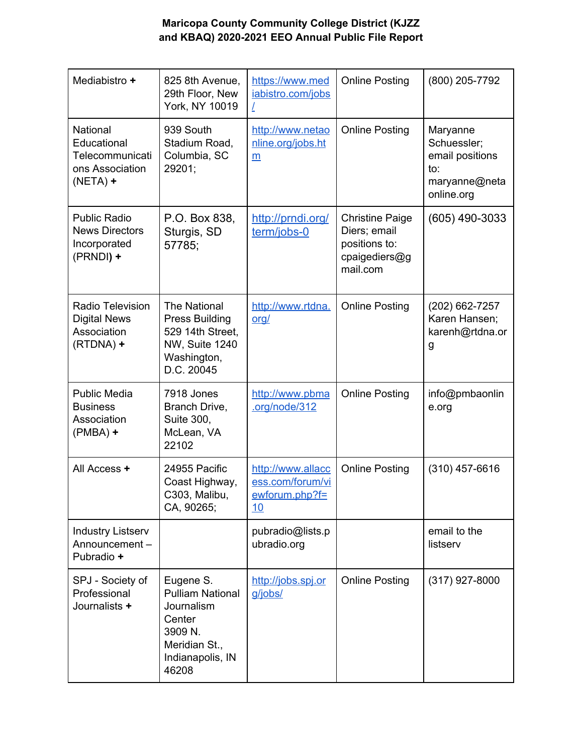| Mediabistro +                                                                | 825 8th Avenue,<br>29th Floor, New<br>York, NY 10019                                                                  | https://www.med<br>iabistro.com/jobs                          | <b>Online Posting</b>                                                                | (800) 205-7792                                                                               |
|------------------------------------------------------------------------------|-----------------------------------------------------------------------------------------------------------------------|---------------------------------------------------------------|--------------------------------------------------------------------------------------|----------------------------------------------------------------------------------------------|
| National<br>Educational<br>Telecommunicati<br>ons Association<br>$(NETA) +$  | 939 South<br>Stadium Road,<br>Columbia, SC<br>29201;                                                                  | http://www.netao<br>nline.org/jobs.ht<br>m                    | <b>Online Posting</b>                                                                | Maryanne<br>Schuessler;<br>email positions<br>$\mathsf{to}$ :<br>maryanne@neta<br>online.org |
| <b>Public Radio</b><br><b>News Directors</b><br>Incorporated<br>(PRNDI) +    | P.O. Box 838,<br>Sturgis, SD<br>57785;                                                                                | http://prndi.org/<br>term/jobs-0                              | <b>Christine Paige</b><br>Diers; email<br>positions to:<br>cpaigediers@g<br>mail.com | $(605)$ 490-3033                                                                             |
| <b>Radio Television</b><br><b>Digital News</b><br>Association<br>$(RTDNA) +$ | <b>The National</b><br><b>Press Building</b><br>529 14th Street,<br>NW, Suite 1240<br>Washington,<br>D.C. 20045       | http://www.rtdna.<br><u>org/</u>                              | <b>Online Posting</b>                                                                | (202) 662-7257<br>Karen Hansen;<br>karenh@rtdna.or<br>g                                      |
| <b>Public Media</b><br><b>Business</b><br>Association<br>$(PMBA)$ +          | 7918 Jones<br>Branch Drive,<br>Suite 300,<br>McLean, VA<br>22102                                                      | http://www.pbma<br>.org/node/312                              | <b>Online Posting</b>                                                                | info@pmbaonlin<br>e.org                                                                      |
| All Access +                                                                 | 24955 Pacific<br>Coast Highway,<br>C303, Malibu,<br>CA, 90265;                                                        | http://www.allacc<br>ess.com/forum/vi<br>ewforum.php?f=<br>10 | <b>Online Posting</b>                                                                | $(310)$ 457-6616                                                                             |
| <b>Industry Listserv</b><br>Announcement-<br>Pubradio +                      |                                                                                                                       | pubradio@lists.p<br>ubradio.org                               |                                                                                      | email to the<br>listserv                                                                     |
| SPJ - Society of<br>Professional<br>Journalists +                            | Eugene S.<br><b>Pulliam National</b><br>Journalism<br>Center<br>3909 N.<br>Meridian St.,<br>Indianapolis, IN<br>46208 | http://jobs.spj.or<br>g/jobs/                                 | <b>Online Posting</b>                                                                | $(317)$ 927-8000                                                                             |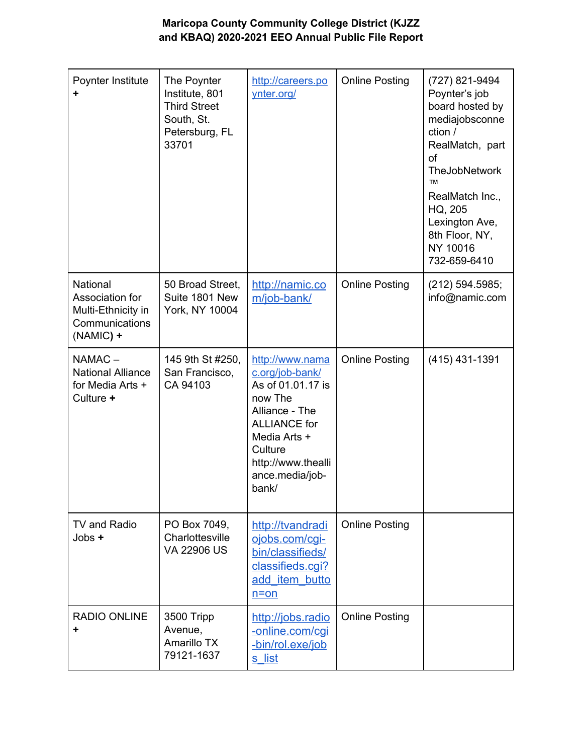| Poynter Institute                                                                         | The Poynter<br>Institute, 801<br><b>Third Street</b><br>South, St.<br>Petersburg, FL<br>33701 | http://careers.po<br>ynter.org/                                                                                                                                                          | <b>Online Posting</b> | (727) 821-9494<br>Poynter's job<br>board hosted by<br>mediajobsconne<br>ction /<br>RealMatch, part<br>of<br><b>TheJobNetwork</b><br><b>TM</b><br>RealMatch Inc.,<br>HQ, 205<br>Lexington Ave,<br>8th Floor, NY,<br>NY 10016<br>732-659-6410 |
|-------------------------------------------------------------------------------------------|-----------------------------------------------------------------------------------------------|------------------------------------------------------------------------------------------------------------------------------------------------------------------------------------------|-----------------------|---------------------------------------------------------------------------------------------------------------------------------------------------------------------------------------------------------------------------------------------|
| <b>National</b><br>Association for<br>Multi-Ethnicity in<br>Communications<br>$(NAMIC) +$ | 50 Broad Street,<br>Suite 1801 New<br>York, NY 10004                                          | http://namic.co<br>m/job-bank/                                                                                                                                                           | <b>Online Posting</b> | (212) 594.5985;<br>info@namic.com                                                                                                                                                                                                           |
| NAMAC-<br><b>National Alliance</b><br>for Media Arts +<br>Culture +                       | 145 9th St #250,<br>San Francisco,<br>CA 94103                                                | http://www.nama<br>c.org/job-bank/<br>As of 01.01.17 is<br>now The<br>Alliance - The<br><b>ALLIANCE</b> for<br>Media Arts +<br>Culture<br>http://www.thealli<br>ance.media/job-<br>bank/ | <b>Online Posting</b> | (415) 431-1391                                                                                                                                                                                                                              |
| TV and Radio<br>Jobs +                                                                    | PO Box 7049,<br>Charlottesville<br>VA 22906 US                                                | http://tvandradi<br>ojobs.com/cgi-<br>bin/classifieds/<br>classifieds.cgi?<br>add item butto<br>$n = on$                                                                                 | <b>Online Posting</b> |                                                                                                                                                                                                                                             |
| <b>RADIO ONLINE</b>                                                                       | 3500 Tripp<br>Avenue,<br>Amarillo TX<br>79121-1637                                            | http://jobs.radio<br>-online.com/cqi<br>-bin/rol.exe/job<br><u>s list</u>                                                                                                                | <b>Online Posting</b> |                                                                                                                                                                                                                                             |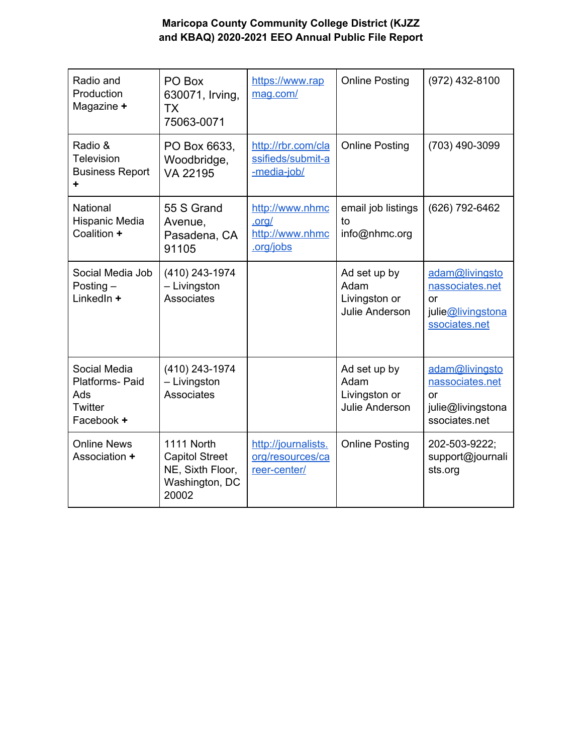| Radio and<br>Production<br>Magazine +                           | PO Box<br>630071, Irving,<br><b>TX</b><br>75063-0071                               | https://www.rap<br>mag.com/                              | <b>Online Posting</b>                                          | (972) 432-8100                                                                |
|-----------------------------------------------------------------|------------------------------------------------------------------------------------|----------------------------------------------------------|----------------------------------------------------------------|-------------------------------------------------------------------------------|
| Radio &<br>Television<br><b>Business Report</b><br>٠            | PO Box 6633,<br>Woodbridge,<br>VA 22195                                            | http://rbr.com/cla<br>ssifieds/submit-a<br>-media-job/   | <b>Online Posting</b>                                          | (703) 490-3099                                                                |
| National<br>Hispanic Media<br>Coalition +                       | 55 S Grand<br>Avenue,<br>Pasadena, CA<br>91105                                     | http://www.nhmc<br>.org/<br>http://www.nhmc<br>.org/jobs | email job listings<br>to<br>info@nhmc.org                      | (626) 792-6462                                                                |
| Social Media Job<br>Posting $-$<br>LinkedIn +                   | (410) 243-1974<br>- Livingston<br>Associates                                       |                                                          | Ad set up by<br>Adam<br>Livingston or<br><b>Julie Anderson</b> | adam@livingsto<br>nassociates.net<br>or<br>julie@livingstona<br>ssociates.net |
| Social Media<br>Platforms- Paid<br>Ads<br>Twitter<br>Facebook + | (410) 243-1974<br>- Livingston<br>Associates                                       |                                                          | Ad set up by<br>Adam<br>Livingston or<br><b>Julie Anderson</b> | adam@livingsto<br>nassociates.net<br>or<br>julie@livingstona<br>ssociates.net |
| <b>Online News</b><br>Association +                             | 1111 North<br><b>Capitol Street</b><br>NE, Sixth Floor,<br>Washington, DC<br>20002 | http://journalists.<br>org/resources/ca<br>reer-center/  | <b>Online Posting</b>                                          | 202-503-9222;<br>support@journali<br>sts.org                                  |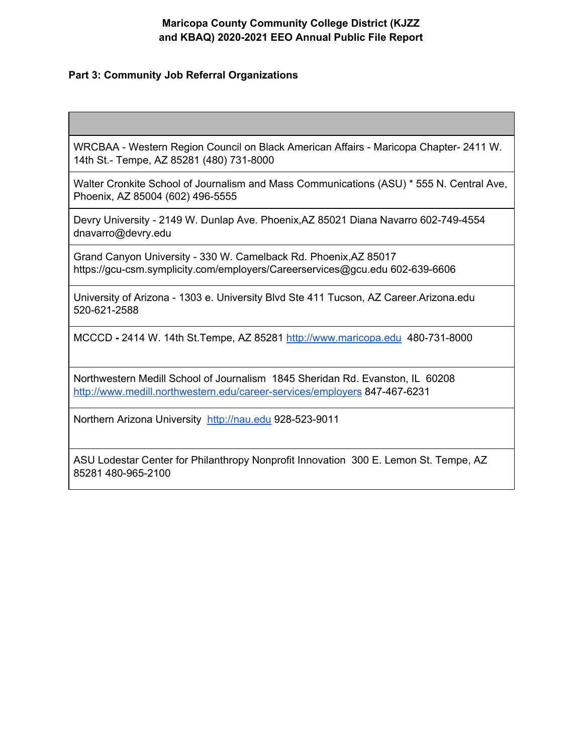#### **Part 3: Community Job Referral Organizations**

WRCBAA - Western Region Council on Black American Affairs - Maricopa Chapter- 2411 W. 14th St.- Tempe, AZ 85281 (480) 731-8000

Walter Cronkite School of Journalism and Mass Communications (ASU) \* 555 N. Central Ave, Phoenix, AZ 85004 (602) 496-5555

Devry University - 2149 W. Dunlap Ave. Phoenix,AZ 85021 Diana Navarro 602-749-4554 dnavarro@devry.edu

Grand Canyon University - 330 W. Camelback Rd. Phoenix,AZ 85017 https://gcu-csm.symplicity.com/employers/Careerservices@gcu.edu 602-639-6606

University of Arizona - 1303 e. University Blvd Ste 411 Tucson, AZ Career.Arizona.edu 520-621-2588

MCCCD **-** 2414 W. 14th St.Tempe, AZ 85281 [http://www.maricopa.edu](http://www.maricopa.edu/) 480-731-8000

Northwestern Medill School of Journalism1845 Sheridan Rd. Evanston, IL 60208 [http://www.medill.northwestern.edu/career-services/employers](http://www.medill.northwestern.edu/career-services/employers/) 847-467-6231

Northern Arizona University [http://nau.edu](http://nau.edu/) 928-523-9011

ASU Lodestar Center for Philanthropy Nonprofit Innovation 300 E. Lemon St. Tempe, AZ 85281 480-965-2100